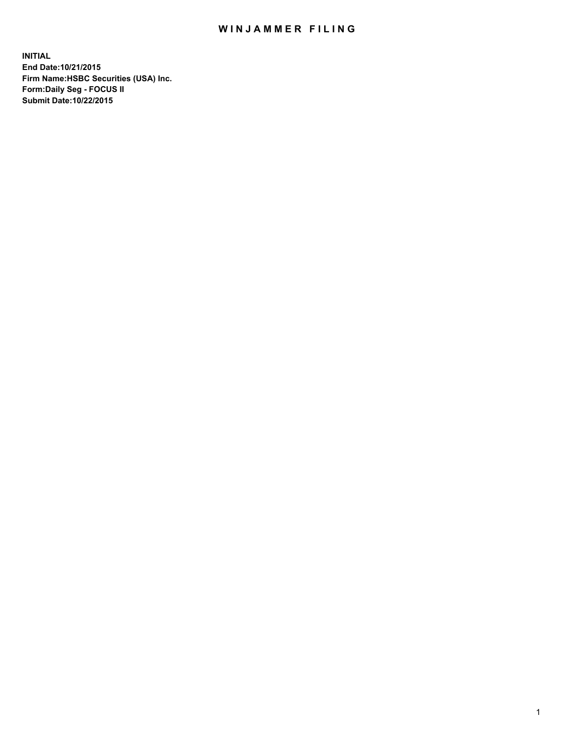## WIN JAMMER FILING

**INITIAL End Date:10/21/2015 Firm Name:HSBC Securities (USA) Inc. Form:Daily Seg - FOCUS II Submit Date:10/22/2015**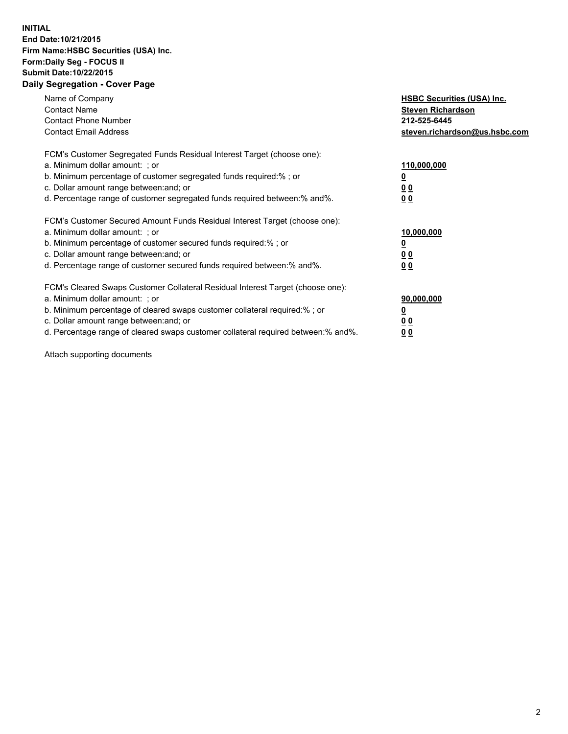## **INITIAL End Date:10/21/2015 Firm Name:HSBC Securities (USA) Inc. Form:Daily Seg - FOCUS II Submit Date:10/22/2015 Daily Segregation - Cover Page**

| Name of Company<br><b>Contact Name</b><br><b>Contact Phone Number</b><br><b>Contact Email Address</b>                                                                                                                                                                                                                         | <b>HSBC Securities (USA) Inc.</b><br><b>Steven Richardson</b><br>212-525-6445<br>steven.richardson@us.hsbc.com |
|-------------------------------------------------------------------------------------------------------------------------------------------------------------------------------------------------------------------------------------------------------------------------------------------------------------------------------|----------------------------------------------------------------------------------------------------------------|
| FCM's Customer Segregated Funds Residual Interest Target (choose one):<br>a. Minimum dollar amount: ; or<br>b. Minimum percentage of customer segregated funds required: % ; or<br>c. Dollar amount range between: and; or<br>d. Percentage range of customer segregated funds required between:% and%.                       | 110,000,000<br><u>0</u><br>0 <sub>0</sub><br>0 <sub>0</sub>                                                    |
| FCM's Customer Secured Amount Funds Residual Interest Target (choose one):<br>a. Minimum dollar amount: ; or<br>b. Minimum percentage of customer secured funds required:%; or<br>c. Dollar amount range between: and; or<br>d. Percentage range of customer secured funds required between:% and%.                           | 10,000,000<br><u>0</u><br>0 <sub>0</sub><br>0 <sub>0</sub>                                                     |
| FCM's Cleared Swaps Customer Collateral Residual Interest Target (choose one):<br>a. Minimum dollar amount: ; or<br>b. Minimum percentage of cleared swaps customer collateral required:%; or<br>c. Dollar amount range between: and; or<br>d. Percentage range of cleared swaps customer collateral required between:% and%. | 90,000,000<br><u>0</u><br>0 <sub>0</sub><br>0 <sub>0</sub>                                                     |

Attach supporting documents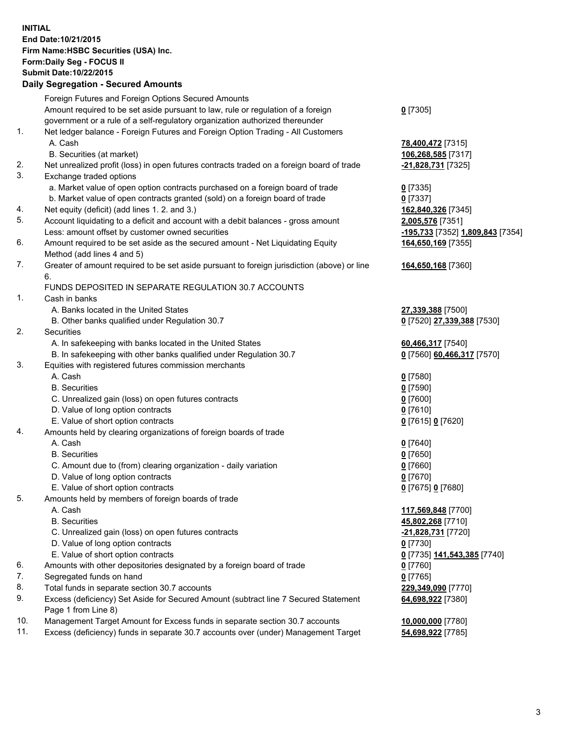**INITIAL End Date:10/21/2015 Firm Name:HSBC Securities (USA) Inc. Form:Daily Seg - FOCUS II Submit Date:10/22/2015**

## **Daily Segregation - Secured Amounts**

|     | Foreign Futures and Foreign Options Secured Amounts                                         |                                  |
|-----|---------------------------------------------------------------------------------------------|----------------------------------|
|     | Amount required to be set aside pursuant to law, rule or regulation of a foreign            | $0$ [7305]                       |
|     | government or a rule of a self-regulatory organization authorized thereunder                |                                  |
| 1.  | Net ledger balance - Foreign Futures and Foreign Option Trading - All Customers             |                                  |
|     | A. Cash                                                                                     | 78,400,472 [7315]                |
|     | B. Securities (at market)                                                                   | 106,268,585 [7317]               |
| 2.  | Net unrealized profit (loss) in open futures contracts traded on a foreign board of trade   | -21,828,731 [7325]               |
| 3.  | Exchange traded options                                                                     |                                  |
|     | a. Market value of open option contracts purchased on a foreign board of trade              | $0$ [7335]                       |
|     | b. Market value of open contracts granted (sold) on a foreign board of trade                | $0$ [7337]                       |
| 4.  | Net equity (deficit) (add lines 1.2. and 3.)                                                | 162,840,326 [7345]               |
| 5.  | Account liquidating to a deficit and account with a debit balances - gross amount           | 2,005,576 [7351]                 |
|     | Less: amount offset by customer owned securities                                            | -195,733 [7352] 1,809,843 [7354] |
| 6.  | Amount required to be set aside as the secured amount - Net Liquidating Equity              | 164,650,169 [7355]               |
|     | Method (add lines 4 and 5)                                                                  |                                  |
| 7.  | Greater of amount required to be set aside pursuant to foreign jurisdiction (above) or line | 164,650,168 [7360]               |
|     | 6.                                                                                          |                                  |
|     | FUNDS DEPOSITED IN SEPARATE REGULATION 30.7 ACCOUNTS                                        |                                  |
| 1.  | Cash in banks                                                                               |                                  |
|     | A. Banks located in the United States                                                       | 27,339,388 [7500]                |
|     | B. Other banks qualified under Regulation 30.7                                              | 0 [7520] 27,339,388 [7530]       |
| 2.  | Securities                                                                                  |                                  |
|     | A. In safekeeping with banks located in the United States                                   | 60,466,317 [7540]                |
|     | B. In safekeeping with other banks qualified under Regulation 30.7                          | 0 [7560] 60,466,317 [7570]       |
| 3.  | Equities with registered futures commission merchants                                       |                                  |
|     | A. Cash                                                                                     | $0$ [7580]                       |
|     | <b>B.</b> Securities                                                                        | <u>0</u> [7590]                  |
|     | C. Unrealized gain (loss) on open futures contracts                                         | 0 [7600]                         |
|     | D. Value of long option contracts                                                           | $0$ [7610]                       |
|     | E. Value of short option contracts                                                          | 0 [7615] 0 [7620]                |
| 4.  | Amounts held by clearing organizations of foreign boards of trade                           |                                  |
|     | A. Cash                                                                                     | $0$ [7640]                       |
|     | <b>B.</b> Securities                                                                        | $0$ [7650]                       |
|     | C. Amount due to (from) clearing organization - daily variation                             | $0$ [7660]                       |
|     | D. Value of long option contracts                                                           | $0$ [7670]                       |
|     | E. Value of short option contracts                                                          | 0 [7675] 0 [7680]                |
| 5.  | Amounts held by members of foreign boards of trade                                          |                                  |
|     | A. Cash                                                                                     | 117,569,848 [7700]               |
|     | <b>B.</b> Securities                                                                        | 45,802,268 [7710]                |
|     | C. Unrealized gain (loss) on open futures contracts                                         | <u>-21,828,731</u> [7720]        |
|     | D. Value of long option contracts                                                           | $0$ [7730]                       |
|     | E. Value of short option contracts                                                          | 0 [7735] 141,543,385 [7740]      |
| 6.  | Amounts with other depositories designated by a foreign board of trade                      | $0$ [7760]                       |
| 7.  | Segregated funds on hand                                                                    | $0$ [7765]                       |
| 8.  | Total funds in separate section 30.7 accounts                                               | 229,349,090 [7770]               |
| 9.  | Excess (deficiency) Set Aside for Secured Amount (subtract line 7 Secured Statement         | 64,698,922 [7380]                |
|     | Page 1 from Line 8)                                                                         |                                  |
| 10. | Management Target Amount for Excess funds in separate section 30.7 accounts                 | 10,000,000 [7780]                |
| 11. | Excess (deficiency) funds in separate 30.7 accounts over (under) Management Target          | 54,698,922 [7785]                |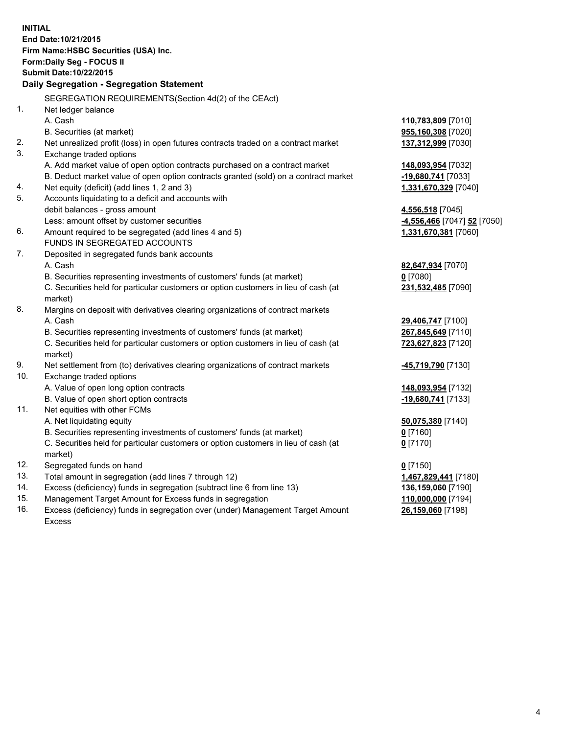|     | <b>INITIAL</b><br>End Date: 10/21/2015<br>Firm Name: HSBC Securities (USA) Inc.                |                             |
|-----|------------------------------------------------------------------------------------------------|-----------------------------|
|     | Form: Daily Seg - FOCUS II                                                                     |                             |
|     | Submit Date: 10/22/2015                                                                        |                             |
|     | Daily Segregation - Segregation Statement                                                      |                             |
|     | SEGREGATION REQUIREMENTS(Section 4d(2) of the CEAct)                                           |                             |
| 1.  | Net ledger balance                                                                             |                             |
|     | A. Cash                                                                                        | 110,783,809 [7010]          |
|     | B. Securities (at market)                                                                      | 955,160,308 [7020]          |
| 2.  | Net unrealized profit (loss) in open futures contracts traded on a contract market             | 137,312,999 [7030]          |
| 3.  | Exchange traded options                                                                        |                             |
|     | A. Add market value of open option contracts purchased on a contract market                    | 148,093,954 [7032]          |
|     | B. Deduct market value of open option contracts granted (sold) on a contract market            | -19,680,741 [7033]          |
| 4.  | Net equity (deficit) (add lines 1, 2 and 3)                                                    | 1,331,670,329 [7040]        |
| 5.  | Accounts liquidating to a deficit and accounts with                                            |                             |
|     | debit balances - gross amount                                                                  | 4,556,518 [7045]            |
|     | Less: amount offset by customer securities                                                     | -4,556,466 [7047] 52 [7050] |
| 6.  | Amount required to be segregated (add lines 4 and 5)                                           | 1,331,670,381 [7060]        |
|     | FUNDS IN SEGREGATED ACCOUNTS                                                                   |                             |
| 7.  | Deposited in segregated funds bank accounts                                                    |                             |
|     | A. Cash                                                                                        | 82,647,934 [7070]           |
|     | B. Securities representing investments of customers' funds (at market)                         | $0$ [7080]                  |
|     | C. Securities held for particular customers or option customers in lieu of cash (at<br>market) | 231,532,485 [7090]          |
| 8.  | Margins on deposit with derivatives clearing organizations of contract markets                 |                             |
|     | A. Cash                                                                                        | 29,406,747 [7100]           |
|     | B. Securities representing investments of customers' funds (at market)                         | 267,845,649 [7110]          |
|     | C. Securities held for particular customers or option customers in lieu of cash (at<br>market) | 723,627,823 [7120]          |
| 9.  | Net settlement from (to) derivatives clearing organizations of contract markets                | <u>-45,719,790</u> [7130]   |
| 10. | Exchange traded options                                                                        |                             |
|     | A. Value of open long option contracts                                                         | 148,093,954 [7132]          |
|     | B. Value of open short option contracts                                                        | -19,680,741 [7133]          |
| 11. | Net equities with other FCMs                                                                   |                             |
|     | A. Net liquidating equity                                                                      | 50,075,380 [7140]           |
|     | B. Securities representing investments of customers' funds (at market)                         | $0$ [7160]                  |
|     | C. Securities held for particular customers or option customers in lieu of cash (at<br>market) | $0$ [7170]                  |
| 12. | Segregated funds on hand                                                                       | $0$ [7150]                  |
| 13. | Total amount in segregation (add lines 7 through 12)                                           | 1,467,829,441 [7180]        |
| 14. | Excess (deficiency) funds in segregation (subtract line 6 from line 13)                        | 136,159,060 [7190]          |
| 15. | Management Target Amount for Excess funds in segregation                                       | 110,000,000 [7194]          |
| 16. | Excess (deficiency) funds in segregation over (under) Management Target Amount                 | 26,159,060 [7198]           |

16. Excess (deficiency) funds in segregation over (under) Management Target Amount Excess